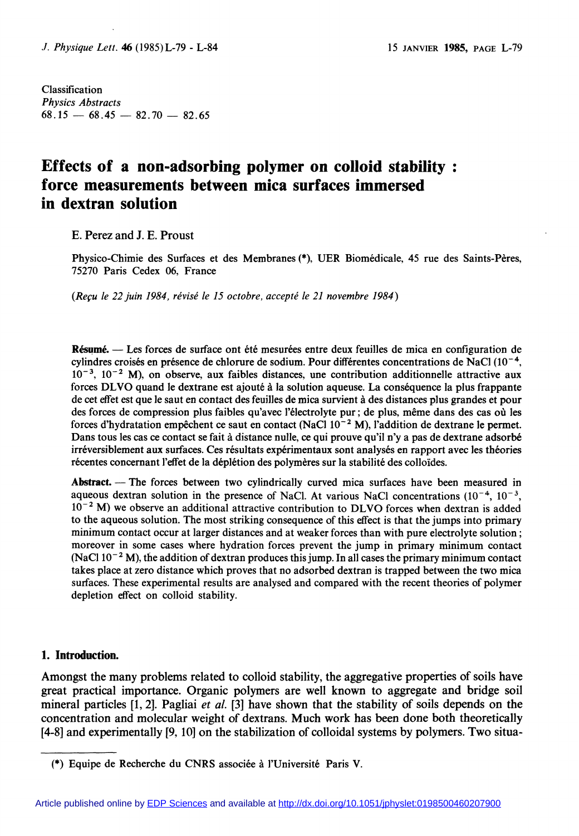Classification Physics Abstracts  $68.15 - 68.45 - 82.70 - 82.65$ 

# Effects of a non-adsorbing polymer on colloid stability : force measurements between mica surfaces immersed in dextran solution

E. Perez and J. E. Proust

Physico-Chimie des Surfaces et des Membranes (\*), UER Biomédicale, 45 rue des Saints-Pères, 75270 Paris Cedex 06, France

(Reçu le 22 juin 1984, révisé le 15 octobre, accepté le 21 novembre 1984)

Résumé. — Les forces de surface ont été mesurées entre deux feuilles de mica en configuration de cylindres croisés en présence de chlorure de sodium. Pour différentes concentrations de NaCl  $(10^{-4},$  $10^{-3}$ ,  $10^{-2}$  M), on observe, aux faibles distances, une contribution additionnelle attractive aux forces DLVO quand le dextrane est ajouté à la solution aqueuse. La conséquence la plus frappante de cet effet est que le saut en contact des feuilles de mica survient à des distances plus grandes et pour des forces de compression plus faibles qu'avec l'électrolyte pur; de plus, même dans des cas où les forces d'hydratation empêchent ce saut en contact (NaCl  $10^{-2}$  M), l'addition de dextrane le permet. Dans tous les cas ce contact se fait à distance nulle, ce qui prouve qu'il n'y a pas de dextrane adsorbé irréversiblement aux surfaces. Ces résultats expérimentaux sont analysés en rapport avec les théories récentes concernant l'effet de la déplétion des polymères sur la stabilité des colloïdes.

Abstract.  $\overline{a}$  The forces between two cylindrically curved mica surfaces have been measured in aqueous dextran solution in the presence of NaCl. At various NaCl concentrations  $(10^{-4}, 10^{-3}, 10^{-3})$  $10^{-2}$  M) we observe an additional attractive contribution to DLVO forces when dextran is added to the aqueous solution. The most striking consequence of this effect is that the jumps into primary minimum contact occur at larger distances and at weaker forces than with pure electrolyte solution; moreover in some cases where hydration forces prevent the jump in primary minimum contact (NaCl  $10^{-2}$  M), the addition of dextran produces this jump. In all cases the primary minimum contact takes place at zero distance which proves that no adsorbed dextran is trapped between the two mica surfaces. These experimental results are analysed and compared with the recent theories of polymer depletion effect on colloid stability.

#### 1. Introduction.

Amongst the many problems related to colloid stability, the aggregative properties of soils have great practical importance. Organic polymers are well known to aggregate and bridge soil mineral particles  $[1, 2]$ . Pagliai *et al.*  $[3]$  have shown that the stability of soils depends on the concentration and molecular weight of dextrans. Much work has been done both theoretically [4-8] and experimentally [9,10] on the stabilization of colloidal systems by polymers. Two situa-

<sup>(\*)</sup> Equipe de Recherche du CNRS associee a I'Université Paris V.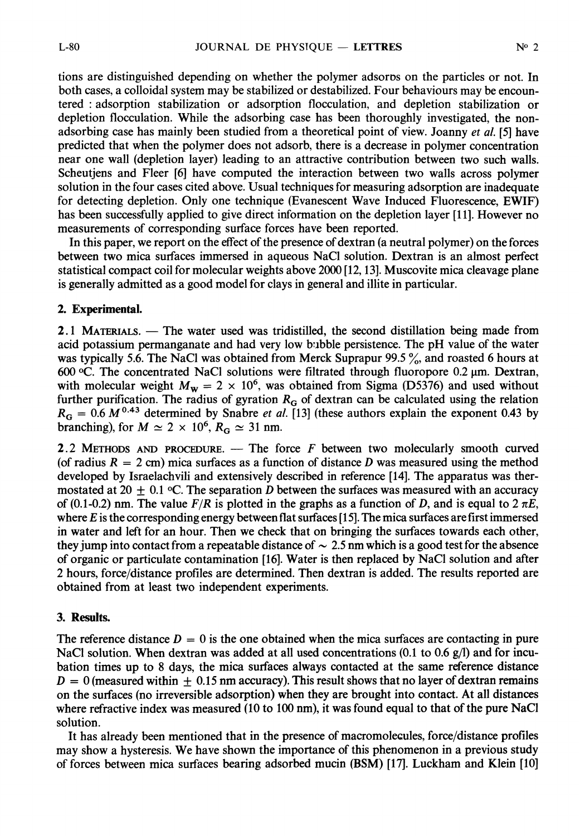tions are distinguished depending on whether the polymer adsoros on the particles or not. In both cases, a colloidal system may be stabilized or destabilized. Four behaviours may be encountered : adsorption stabilization or adsorption flocculation, and depletion stabilization or depletion flocculation. While the adsorbing case has been thoroughly investigated, the nonadsorbing case has mainly been studied from a theoretical point of view. Joanny et al. [5] have predicted that when the polymer does not adsorb, there is a decrease in polymer concentration near one wall (depletion layer) leading to an attractive contribution between two such walls. Scheutjens and Fleer [6] have computed the interaction between two walls across polymer solution in the four cases cited above. Usual techniques for measuring adsorption are inadequate for detecting depletion. Only one technique (Evanescent Wave Induced Fluorescence, EWIF) has been successfully applied to give direct information on the depletion layer [11]. However no measurements of corresponding surface forces have been reported.

In this paper, we report on the effect of the presence of dextran (a neutral polymer) on the forces between two mica surfaces immersed in aqueous NaCI solution. Dextran is an almost perfect statistical compact coil for molecular weights above 2000 [12,13]. Muscovite mica cleavage plane is generally admitted as a good model for clays in general and illite in particular.

## 2. Experimental.

2.1 MATERIALS.  $-$  The water used was tridistilled, the second distillation being made from acid potassium permanganate and had very low bubble persistence. The pH value of the water was typically 5.6. The NaCl was obtained from Merck Suprapur 99.5  $\%$ , and roasted 6 hours at 600  $\degree$ C. The concentrated NaCl solutions were filtrated through fluoropore 0.2  $\mu$ m. Dextran, with molecular weight  $M_w = 2 \times 10^6$ , was obtained from Sigma (D5376) and used without further purification. The radius of gyration  $R_G$  of dextran can be calculated using the relation  $R_{\text{G}} = 0.6 M^{0.43}$  determined by Snabre *et al.* [13] (these authors explain the exponent 0.43 by branching), for  $M \simeq 2 \times 10^6$ ,  $R_G \simeq 31$  nm.

2.2 METHODS AND PROCEDURE.  $-$  The force F between two molecularly smooth curved (of radius  $R = 2$  cm) mica surfaces as a function of distance D was measured using the method developed by Israelachvili and extensively described in reference [14]. The apparatus was thermostated at 20  $+$  0.1 °C. The separation D between the surfaces was measured with an accuracy of (0.1-0.2) nm. The value  $F/R$  is plotted in the graphs as a function of D, and is equal to  $2 \pi E$ , where  $E$  is the corresponding energy between flat surfaces [15]. The mica surfaces are first immersed in water and left for an hour. Then we check that on bringing the surfaces towards each other, they jump into contact from a repeatable distance of  $\sim 2.5$  nm which is a good test for the absence of organic or particulate contamination [16]. Water is then replaced by NaCI solution and after 2 hours, force/distance profiles are determined. Then dextran is added. The results reported are obtained from at least two independent experiments.

## 3. Results.

The reference distance  $D = 0$  is the one obtained when the mica surfaces are contacting in pure NaCl solution. When dextran was added at all used concentrations  $(0.1 \text{ to } 0.6 \text{ g/l})$  and for incubation times up to 8 days, the mica surfaces always contacted at the same reference distance  $D = 0$  (measured within  $\pm 0.15$  nm accuracy). This result shows that no layer of dextran remains on the surfaces (no irreversible adsorption) when they are brought into contact. At all distances where refractive index was measured (10 to 100 nm), it was found equal to that of the pure NaCl solution.

It has already been mentioned that in the presence of macromolecules, force/distance profiles may show a hysteresis. We have shown the importance of this phenomenon in a previous study of forces between mica surfaces bearing adsorbed mucin (BSM) [17]. Luckham and Klein [10]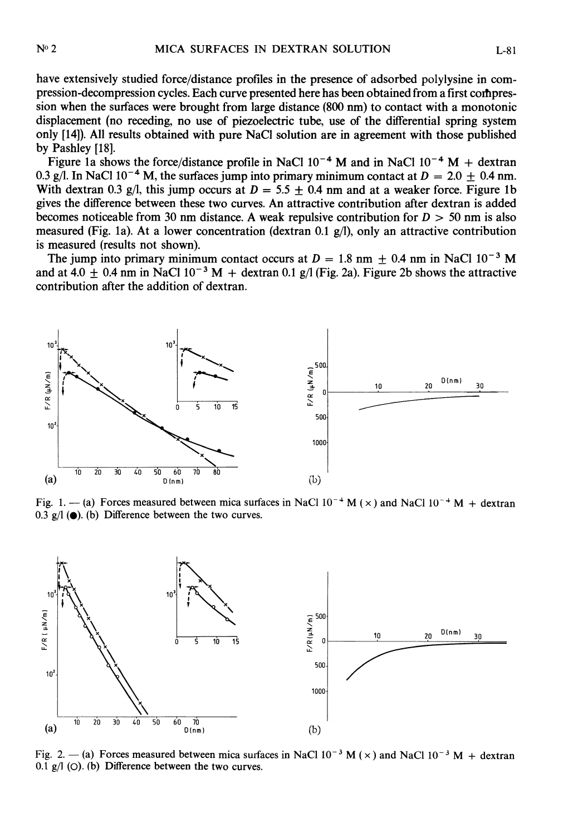have extensively studied force/distance profiles in the presence of adsorbed polylysine in compression-decompression cycles. Each curve presented here has been obtained from a first coihpression when the surfaces were brought from large distance (800 nm) to contact with a monotonic displacement (no receding, no use of piezoelectric tube, use of the differential spring system only [14]). All results obtained with pure NaCI solution are in agreement with those published by Pashley [18].

Figure 1a shows the force/distance profile in NaCl  $10^{-4}$  M and in NaCl  $10^{-4}$  M + dextran 0.3 g/l. In NaCl 10<sup>-4</sup> M, the surfaces jump into primary minimum contact at  $D = 2.0 \pm 0.4$  nm. With dextran 0.3 g/l, this jump occurs at  $D = 5.5 \pm 0.4$  nm and at a weaker force. Figure 1b gives the difference between these two curves. An attractive contribution after dextran is added becomes noticeable from 30 nm distance. A weak repulsive contribution for  $D > 50$  nm is also measured (Fig. 1a). At a lower concentration (dextran 0.1  $g/l$ ), only an attractive contribution is measured (results not shown).

The jump into primary minimum contact occurs at  $D = 1.8$  nm  $\pm 0.4$  nm in NaCl 10<sup>-3</sup> M and at 4.0  $\pm$  0.4 nm in NaCl 10<sup>-3</sup> M + dextran 0.1 g/l (Fig. 2a). Figure 2b shows the attractive contribution after the addition of dextran.



Fig. 1. - (a) Forces measured between mica surfaces in NaCl  $10^{-4}$  M ( $\times$ ) and NaCl  $10^{-4}$  M + dextran 0.3  $g/1$  ( $\bullet$ ). (b) Difference between the two curves.



Fig. 2. - (a) Forces measured between mica surfaces in NaCl  $10^{-3}$  M ( $\times$ ) and NaCl  $10^{-3}$  M + dextran 0.1  $g/1$  (O). (b) Difference between the two curves.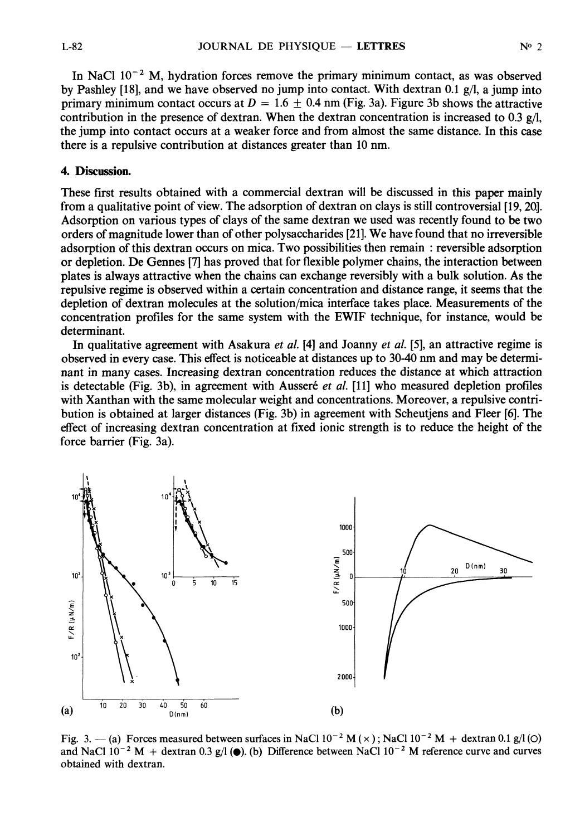In NaCl  $10^{-2}$  M, hydration forces remove the primary minimum contact, as was observed by Pashley [18], and we have observed no jump into contact. With dextran 0.1  $g/l$ , a jump into primary minimum contact occurs at  $D = 1.6 \pm 0.4$  nm (Fig. 3a). Figure 3b shows the attractive contribution in the presence of dextran. When the dextran concentration is increased to 0.3  $g/l$ , the jump into contact occurs at a weaker force and from almost the same distance. In this case there is a repulsive contribution at distances greater than 10 nm.

## 4. Discussion.

These first results obtained with a commercial dextran will be discussed in this paper mainly from a qualitative point of view. The adsorption of dextran on clays is still controversial [19, 20.]. Adsorption on various types of clays of the same dextran we used was recently found to be two orders of magnitude lower than of other polysaccharides [21]. We have found that no irreversible adsorption of this dextran occurs on mica. Two possibilities then remain: reversible adsorption or depletion. De Gennes [7] has proved that for flexible polymer chains, the interaction between plates is always attractive when the chains can exchange reversibly with a bulk solution. As the repulsive regime is observed within a certain concentration and distance range, it seems that the depletion of dextran molecules at the solution/mica interface takes place. Measurements of the concentration profiles for the same system with the EWIF technique, for instance, would be determinant.

In qualitative agreement with Asakura *et al.* [4] and Joanny *et al.* [5], an attractive regime is observed in every case. This effect is noticeable at distances up to 30-40 nm and may be determinant in many cases. Increasing dextran concentration reduces the distance at which attraction is detectable (Fig. 3b), in agreement with Ausseré *et al.*  $[11]$  who measured depletion profiles with Xanthan with the same molecular weight and concentrations. Moreover, a repulsive contribution is obtained at larger distances (Fig. 3b) in agreement with Scheutjens and Fleer [6]. The effect of increasing dextran concentration at fixed ionic strength is to reduce the height of the force barrier (Fig. 3a).



Fig. 3. - (a) Forces measured between surfaces in NaCl  $10^{-2}$  M ( $\times$ ); NaCl  $10^{-2}$  M + dextran 0.1 g/l (O) and NaCl  $10^{-2}$  M + dextran 0.3 g/l ( $\bullet$ ). (b) Difference between NaCl  $10^{-2}$  M reference curve and curves obtained with dextran.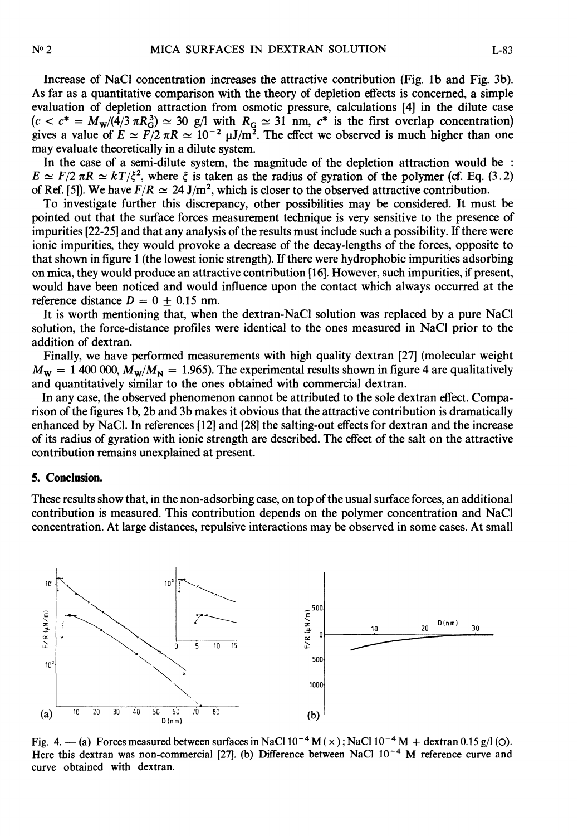Increase of NaCI concentration increases the attractive contribution (Fig. lb and Fig. 3b). As far as a quantitative comparison with the theory of depletion effects is concerned, a simple evaluation of depletion attraction from osmotic pressure, calculations [4] in the dilute case  $(c < c^* = M_w/(4/3 \pi R_G^3) \approx 30$  g/l with  $R_G \approx 31$  nm,  $c^*$  is the first overlap concentration) gives a value of  $E \simeq F/2 \pi R \simeq 10^{-2} \mu J/m^2$ . The effect we observed is much higher than one may evaluate theoretically in a dilute system.

In the case of a semi-dilute system, the magnitude of the depletion attraction would be :  $E \simeq F/2 \pi R \simeq kT/\xi^2$ , where  $\xi$  is taken as the radius of gyration of the polymer (cf. Eq. (3.2) of Ref. [5]). We have  $F/R \simeq 24$  J/m<sup>2</sup>, which is closer to the observed attractive contribution.

To investigate further this discrepancy, other possibilities may be considered. It must be pointed out that the surface forces measurement technique is very sensitive to the presence of impurities [22-25] and that any analysis of the results must include such a possibility. If there were ionic impurities, they would provoke a decrease of the decay-lengths of the forces, opposite to that shown in figure 1 (the lowest ionic strength). If there were hydrophobic impurities adsorbing on mica, they would produce an attractive contribution [16]. However, such impurities, if present, would have been noticed and would influence upon the contact which always occurred at the reference distance  $D = 0 + 0.15$  nm.

It is worth mentioning that, when the dextran-NaCI solution was replaced by a pure NaCl solution, the force-distance profiles were identical to the ones measured in NaCI prior to the addition of dextran.

Finally, we have performed measurements with high quality dextran [27] (molecular weight  $M_w = 1400 000$ ,  $M_w/M_p = 1.965$ . The experimental results shown in figure 4 are qualitatively and quantitatively similar to the ones obtained with commercial dextran.

In any case, the observed phenomenon cannot be attributed to the sole dextran effect. Comparison of the figures lb, 2b and 3b makes it obvious that the attractive contribution is dramatically enhanced by NaCl. In references [12] and [28] the salting-out effects for dextran and the increase of its radius of gyration with ionic strength are described. The effect of the salt on the attractive contribution remains unexplained at present.

#### 5. Conclusion.

These results show that, in the non-adsorbing case, on top of the usual surface forces, an additional contribution is measured. This contribution depends on the polymer concentration and NaCI concentration. At large distances, repulsive interactions may be observed in some cases. At small



Fig. 4. - (a) Forces measured between surfaces in NaCl  $10^{-4}$  M ( $\times$ ); NaCl  $10^{-4}$  M + dextran 0.15 g/l (O). Here this dextran was non-commercial [27]. (b) Difference between NaCl  $10^{-4}$  M reference curve and curve obtained with dextran.